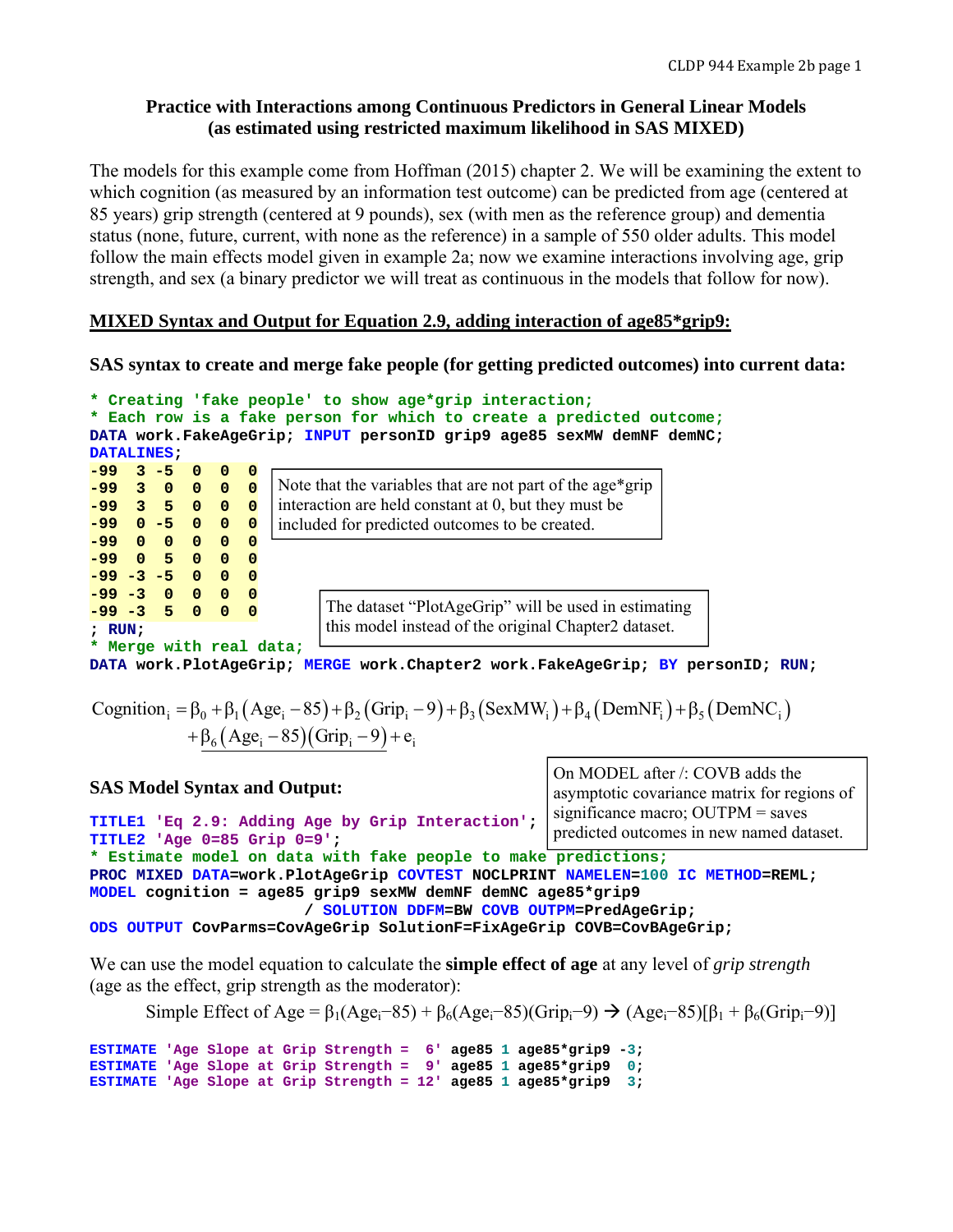# **Practice with Interactions among Continuous Predictors in General Linear Models (as estimated using restricted maximum likelihood in SAS MIXED)**

The models for this example come from Hoffman (2015) chapter 2. We will be examining the extent to which cognition (as measured by an information test outcome) can be predicted from age (centered at 85 years) grip strength (centered at 9 pounds), sex (with men as the reference group) and dementia status (none, future, current, with none as the reference) in a sample of 550 older adults. This model follow the main effects model given in example 2a; now we examine interactions involving age, grip strength, and sex (a binary predictor we will treat as continuous in the models that follow for now).

# **MIXED Syntax and Output for Equation 2.9, adding interaction of age85\*grip9:**

**SAS syntax to create and merge fake people (for getting predicted outcomes) into current data:** 

```
* Creating 'fake people' to show age*grip interaction;
* Each row is a fake person for which to create a predicted outcome;
DATA work.FakeAgeGrip; INPUT personID grip9 age85 sexMW demNF demNC; 
DATALINES; 
-99 3 -5 0 0 0 
-99 3 0 0 0 0 
-99 3 5 0 0 0 
-99 0 -5 0 0 0 
-99 0 0 0 0 0 
-99 0 5 0 0 0 
-99 -3 -5 0 0 0 
-99 -3 0 0 0 0 
-99 -3 5 0 0 0 
; RUN; 
* Merge with real data;
                     Note that the variables that are not part of the age*grip 
                     interaction are held constant at 0, but they must be 
                     included for predicted outcomes to be created.
                           The dataset "PlotAgeGrip" will be used in estimating 
                           this model instead of the original Chapter2 dataset.
```
**DATA work.PlotAgeGrip; MERGE work.Chapter2 work.FakeAgeGrip; BY personID; RUN;**

```
Cognition<sub>i</sub> = \beta_0 + \beta_1 (Age<sub>i</sub> - 85) + \beta_2 (Grip<sub>i</sub> - 9) + \beta_3 (SexMW<sub>i</sub>) + \beta_4 (DemNF<sub>i</sub>) + \beta_5 (DemNC<sub>i</sub>)
+\beta_6(Age_i - 85)(Grip_i - 9) + e_i
```

```
SAS Model Syntax and Output:
TITLE1 'Eq 2.9: Adding Age by Grip Interaction'; 
TITLE2 'Age 0=85 Grip 0=9'; 
* Estimate model on data with fake people to make predictions;
PROC MIXED DATA=work.PlotAgeGrip COVTEST NOCLPRINT NAMELEN=100 IC METHOD=REML; 
MODEL cognition = age85 grip9 sexMW demNF demNC age85*grip9 
                          / SOLUTION DDFM=BW COVB OUTPM=PredAgeGrip; 
ODS OUTPUT CovParms=CovAgeGrip SolutionF=FixAgeGrip COVB=CovBAgeGrip; 
                                                      On MODEL after /: COVB adds the 
                                                      asymptotic covariance matrix for regions of 
                                                      significance macro; OUTPM = saves 
                                                      predicted outcomes in new named dataset.
```
We can use the model equation to calculate the **simple effect of age** at any level of *grip strength* (age as the effect, grip strength as the moderator):

Simple Effect of Age =  $\beta_1(Age_i-85) + \beta_6(Age_i-85)(Grip_i-9) \rightarrow (Age_i-85)[\beta_1 + \beta_6(Grip_i-9)]$ 

**ESTIMATE** 'Age Slope at Grip Strength =  $6'$  age85 1 age85\*grip9 -3;<br>**ESTIMATE** 'Age Slope at Grip Strength = 9' age85 1 age85\*grip9 0; **ESTIMATE** 'Age Slope at Grip Strength = 9' age85 1 age85\*grip9 **ESTIMATE** 'Age Slope at Grip Strength = 12' age85 1 age85\*grip9 3;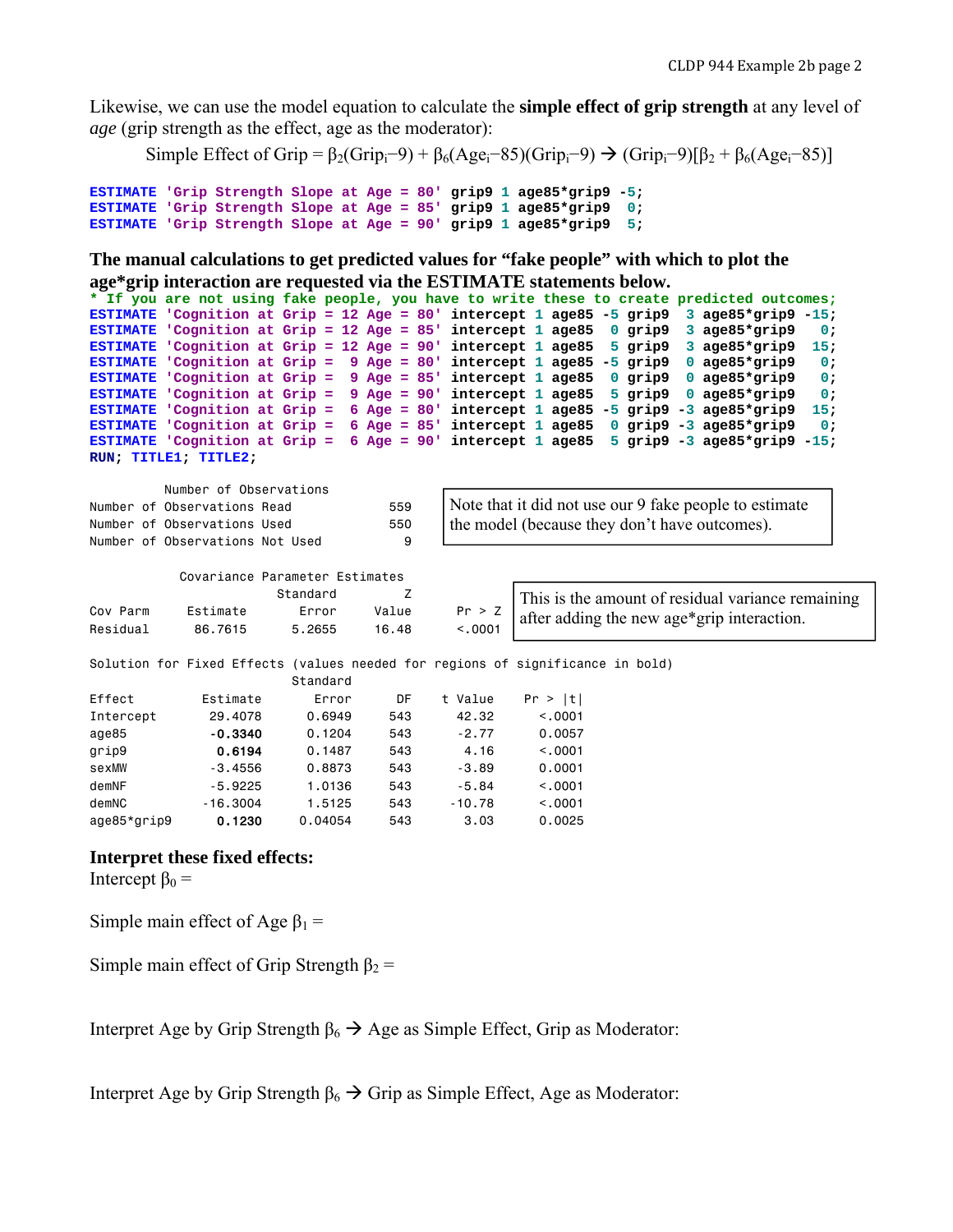Likewise, we can use the model equation to calculate the **simple effect of grip strength** at any level of *age* (grip strength as the effect, age as the moderator):

Simple Effect of Grip =  $\beta_2$ (Grip<sub>i</sub>-9) +  $\beta_6$ (Age<sub>i</sub>-85)(Grip<sub>i</sub>-9)  $\rightarrow$  (Grip<sub>i</sub>-9)[ $\beta_2$  +  $\beta_6$ (Age<sub>i</sub>-85)]

```
ESTIMATE 'Grip Strength Slope at Age = 80' grip9 1 age85*grip9 -5; 
ESTIMATE 'Grip Strength Slope at Age = 85' grip9 1 age85*grip9 0; 
ESTIMATE 'Grip Strength Slope at Age = 90' grip9 1 age85*grip9 5;
```
**The manual calculations to get predicted values for "fake people" with which to plot the age\*grip interaction are requested via the ESTIMATE statements below.** 

```
* If you are not using fake people, you have to write these to create predicted outcomes;
ESTIMATE 'Cognition at Grip = 12 Age = 80' intercept 1 age85 -5 grip9 3 age85*grip9 -15; 
ESTIMATE 'Cognition at Grip = 12 Age = 85' intercept 1 age85 0 grip9 3 age85*grip9
ESTIMATE 'Cognition at Grip = 12 Age = 90' intercept 1 age85 5 grip9 3 age85*grip9 15; 
ESTIMATE 'Cognition at Grip = 9 Age = 80' intercept 1 age85 -5 grip9 0 age85*grip9 0; 
ESTIMATE 'Cognition at Grip = 9 Age = 85' intercept 1 age85 0 grip9 0 age85*grip9 0; 
ESTIMATE 'Cognition at Grip = 9 Age = 90' intercept 1 age85 5 grip9 0 age85*grip9 0; 
ESTIMATE 'Cognition at Grip = 6 Age = 80' intercept 1 age85 -5 grip9 -3 age85*grip9 15; 
ESTIMATE 'Cognition at Grip = 6 Age = 85' intercept 1 age85 0 grip9 -3 age85*grip9 0; 
ESTIMATE 'Cognition at Grip = 6 Age = 90' intercept 1 age85 5 grip9 -3 age85*grip9 -15; 
RUN; TITLE1; TITLE2;
```

| Number of Observations          |     |                                                        |
|---------------------------------|-----|--------------------------------------------------------|
|                                 |     |                                                        |
| Number of Observations Read     | 559 | Note that it did not use our 9 fake people to estimate |
| Number of Observations Used     | 550 | the model (because they don't have outcomes).          |
| Number of Observations Not Used |     |                                                        |
|                                 |     |                                                        |

|          | Covariance Parameter Estimates |          |       |         |                                                              |
|----------|--------------------------------|----------|-------|---------|--------------------------------------------------------------|
|          |                                | Standard |       |         | This is the amount of residual variance remaining            |
| Cov Parm | Estimate                       | Error    | Value |         | $\frac{Pr}{\sim}$ after adding the new age*grip interaction. |
| Residual | 86.7615                        | 5.2655   | 16.48 | < 0.001 |                                                              |

Solution for Fixed Effects (values needed for regions of significance in bold)

|             |            | Standard |     |          |         |
|-------------|------------|----------|-----|----------|---------|
| Effect      | Estimate   | Error    | DF  | t Value  | Pr >  t |
| Intercept   | 29,4078    | 0.6949   | 543 | 42.32    | < 0.001 |
| age85       | $-0.3340$  | 0.1204   | 543 | $-2.77$  | 0.0057  |
| grip9       | 0.6194     | 0.1487   | 543 | 4.16     | < 0.001 |
| sexMW       | $-3.4556$  | 0.8873   | 543 | $-3.89$  | 0.0001  |
| demNF       | $-5.9225$  | 1.0136   | 543 | $-5.84$  | < 0.001 |
| demNC       | $-16,3004$ | 1.5125   | 543 | $-10.78$ | < 0.001 |
| age85*grip9 | 0.1230     | 0.04054  | 543 | 3.03     | 0.0025  |

## **Interpret these fixed effects:**

Intercept  $β_0 =$ 

Simple main effect of Age  $\beta_1$  =

Simple main effect of Grip Strength  $\beta_2$  =

Interpret Age by Grip Strength  $\beta_6 \rightarrow \text{Age}$  as Simple Effect, Grip as Moderator:

Interpret Age by Grip Strength  $\beta_6 \rightarrow$  Grip as Simple Effect, Age as Moderator: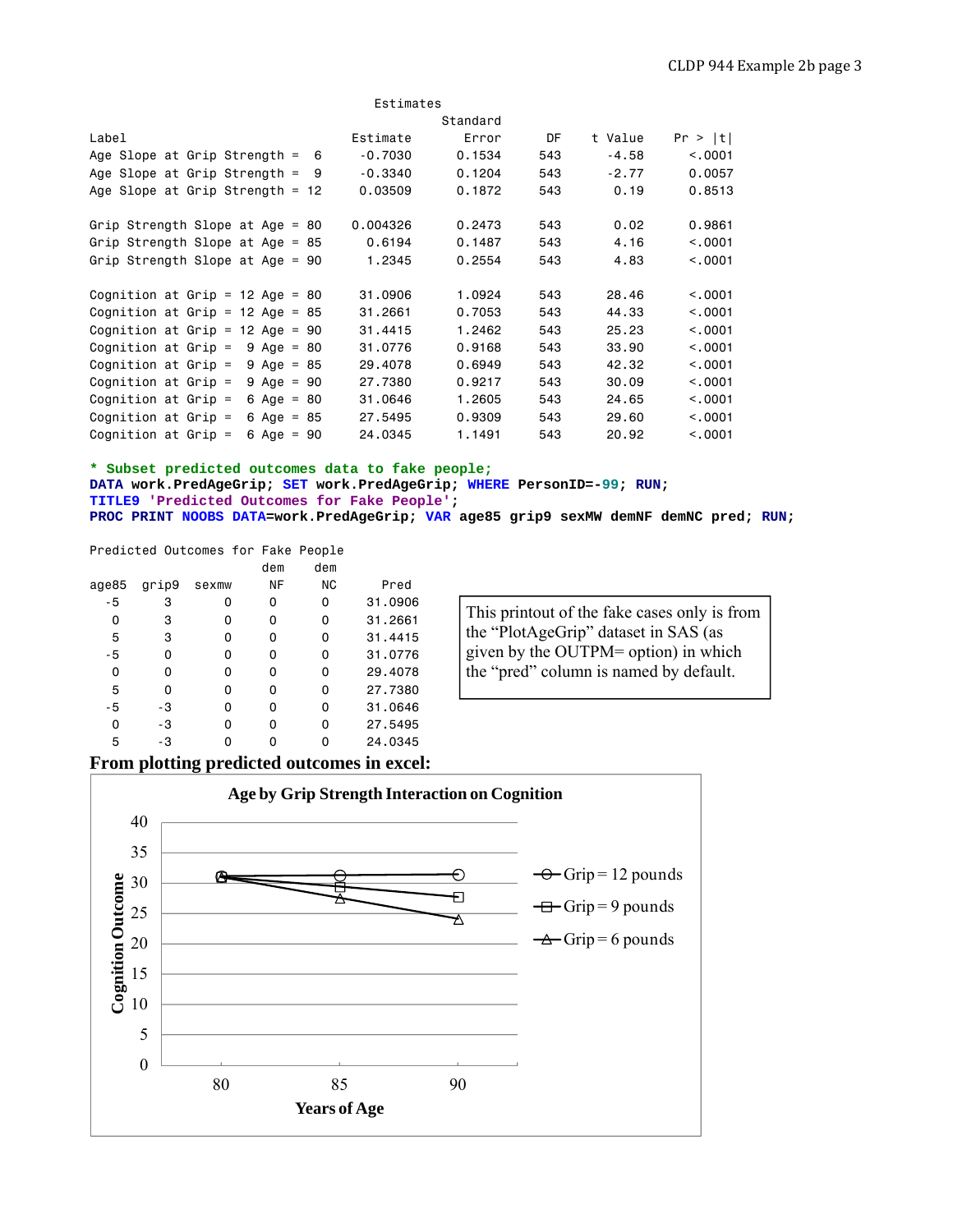|                                               | Estimates |          |     |         |         |
|-----------------------------------------------|-----------|----------|-----|---------|---------|
|                                               |           | Standard |     |         |         |
| Label                                         | Estimate  | Error    | DF  | t Value | Pr >  t |
| Age Slope at Grip Strength $=$<br>6           | $-0.7030$ | 0.1534   | 543 | $-4.58$ | < 0.001 |
| Age Slope at Grip Strength $=$<br>- 9         | $-0.3340$ | 0.1204   | 543 | $-2.77$ | 0.0057  |
| Age Slope at Grip Strength = $12$             | 0.03509   | 0.1872   | 543 | 0.19    | 0.8513  |
| Grip Strength Slope at Age = 80               | 0.004326  | 0.2473   | 543 | 0.02    | 0.9861  |
| Grip Strength Slope at Age = $85$             | 0.6194    | 0.1487   | 543 | 4.16    | < 0.001 |
| Grip Strength Slope at Age = $90$             | 1.2345    | 0.2554   | 543 | 4.83    | < 0.001 |
| Cognition at Grip = $12$ Age = 80             | 31,0906   | 1.0924   | 543 | 28.46   | < 0.001 |
| Cognition at Grip = $12$ Age = 85             | 31,2661   | 0.7053   | 543 | 44.33   | < 0.001 |
| Cognition at Grip = $12$ Age = 90             | 31,4415   | 1.2462   | 543 | 25.23   | < 0.001 |
| Cognition at Grip $=$<br>$9 \text{ Age} = 80$ | 31,0776   | 0.9168   | 543 | 33.90   | < 0.001 |
| Cognition at Grip $=$<br>$9 \text{ Age} = 85$ | 29,4078   | 0.6949   | 543 | 42.32   | < 0.001 |
| Cognition at Grip $=$<br>$9 \text{ Age} = 90$ | 27,7380   | 0.9217   | 543 | 30.09   | < 0.001 |
| Cognition at Grip $=$<br>6 Age = $80$         | 31,0646   | 1.2605   | 543 | 24,65   | < 0.001 |
| Cognition at Grip $=$<br>6 Age = $85$         | 27.5495   | 0.9309   | 543 | 29,60   | < 0.001 |
| Cognition at Grip $=$<br>6 Age = $90$         | 24,0345   | 1.1491   | 543 | 20.92   | < 0.001 |

**\* Subset predicted outcomes data to fake people; DATA work.PredAgeGrip; SET work.PredAgeGrip; WHERE PersonID=-99; RUN; TITLE9 'Predicted Outcomes for Fake People'; PROC PRINT NOOBS DATA=work.PredAgeGrip; VAR age85 grip9 sexMW demNF demNC pred; RUN;** 

|       |       | Predicted Outcomes for Fake People |     |     |         |
|-------|-------|------------------------------------|-----|-----|---------|
|       |       |                                    | dem | dem |         |
| age85 | grip9 | sexmw                              | ΝF  | ΝC  | Pred    |
| $-5$  | з     | Ω                                  | 0   | 0   | 31.0906 |
| 0     | 3     | O                                  | 0   | o   | 31.2661 |
| 5     | 3     | 0                                  | 0   | o   | 31.4415 |
| - 5   | 0     | 0                                  | 0   | 0   | 31.0776 |
| 0     | 0     | 0                                  | 0   | 0   | 29.4078 |
| 5     | 0     | 0                                  | 0   | 0   | 27.7380 |
| - 5   | -3    | O                                  | 0   | o   | 31.0646 |
| 0     | -3    | 0                                  | ŋ   | n   | 27.5495 |
| 5     | -3    |                                    |     |     | 24.0345 |

This printout of the fake cases only is from the "PlotAgeGrip" dataset in SAS (as given by the OUTPM= option) in which the "pred" column is named by default.

## **From plotting predicted outcomes in excel:**

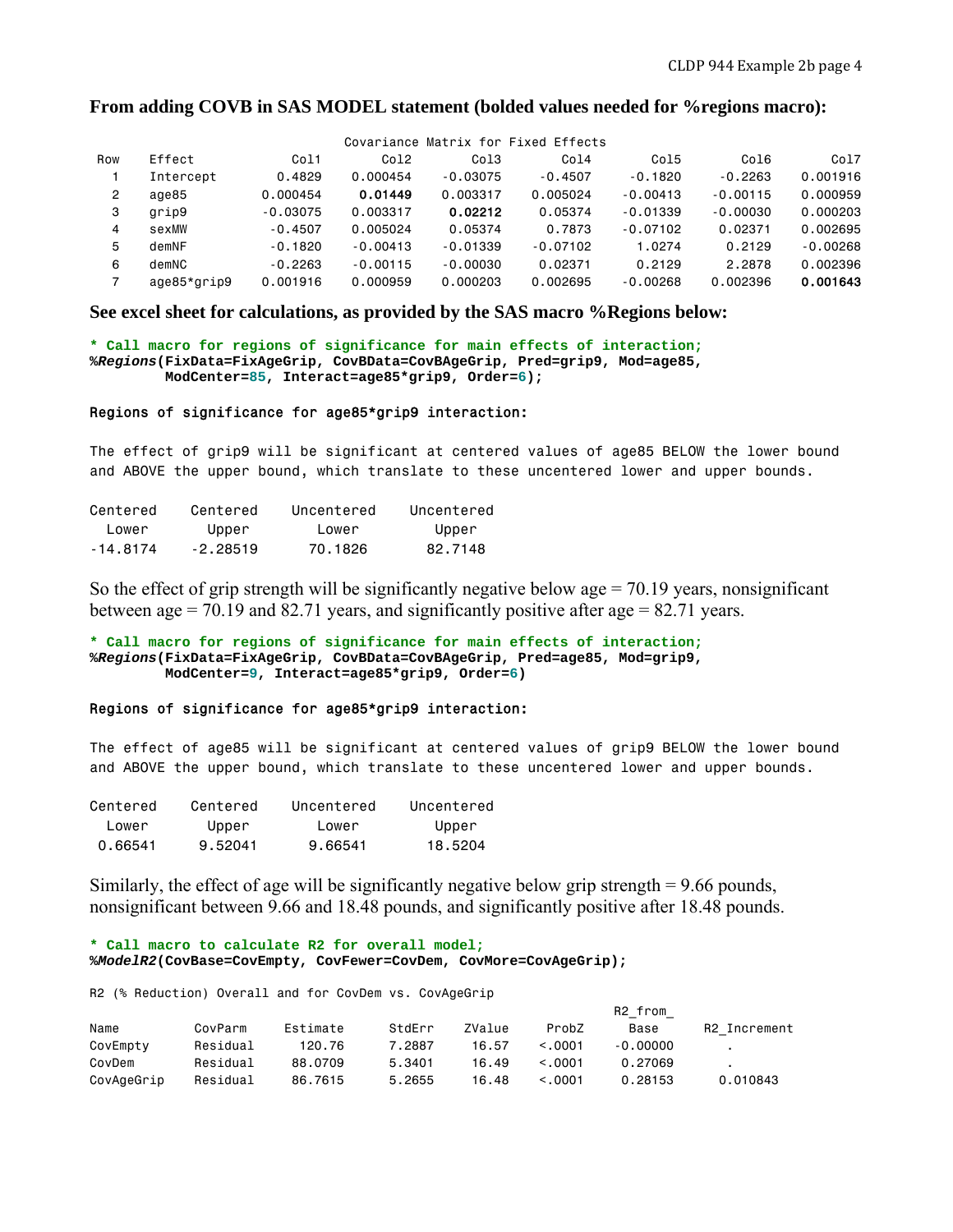#### **From adding COVB in SAS MODEL statement (bolded values needed for %regions macro):**

|     |             |            |            |            | Covariance Matrix for Fixed Effects |            |            |            |
|-----|-------------|------------|------------|------------|-------------------------------------|------------|------------|------------|
| Row | Effect      | Co11       | Co12       | Col3       | Co14                                | Co15       | Co16       | Co17       |
|     | Intercept   | 0.4829     | 0.000454   | $-0.03075$ | $-0.4507$                           | $-0.1820$  | $-0.2263$  | 0.001916   |
| 2   | age85       | 0.000454   | 0.01449    | 0.003317   | 0.005024                            | $-0.00413$ | $-0.00115$ | 0.000959   |
| 3   | grip9       | $-0.03075$ | 0.003317   | 0.02212    | 0.05374                             | $-0.01339$ | $-0.00030$ | 0.000203   |
| 4   | sexMW       | $-0.4507$  | 0.005024   | 0.05374    | 0.7873                              | $-0.07102$ | 0.02371    | 0.002695   |
| 5   | demNF       | $-0.1820$  | $-0.00413$ | $-0.01339$ | $-0.07102$                          | 1.0274     | 0.2129     | $-0.00268$ |
| 6   | demNC       | $-0.2263$  | $-0.00115$ | $-0.00030$ | 0.02371                             | 0.2129     | 2.2878     | 0.002396   |
| 7   | age85*grip9 | 0.001916   | 0.000959   | 0.000203   | 0.002695                            | $-0.00268$ | 0.002396   | 0.001643   |

**See excel sheet for calculations, as provided by the SAS macro %Regions below:** 

**\* Call macro for regions of significance for main effects of interaction; %***Regions***(FixData=FixAgeGrip, CovBData=CovBAgeGrip, Pred=grip9, Mod=age85, ModCenter=85, Interact=age85\*grip9, Order=6);** 

#### Regions of significance for age85\*grip9 interaction:

The effect of grip9 will be significant at centered values of age85 BELOW the lower bound and ABOVE the upper bound, which translate to these uncentered lower and upper bounds.

| Centered    | Centered   | Uncentered | Uncentered |
|-------------|------------|------------|------------|
| lower       | Upper      | l ower     | Upper      |
| - 14 . 8174 | $-2.28519$ | 70.1826    | 82.7148    |

So the effect of grip strength will be significantly negative below age  $= 70.19$  years, nonsignificant between age = 70.19 and 82.71 years, and significantly positive after age =  $82.71$  years.

**\* Call macro for regions of significance for main effects of interaction; %***Regions***(FixData=FixAgeGrip, CovBData=CovBAgeGrip, Pred=age85, Mod=grip9, ModCenter=9, Interact=age85\*grip9, Order=6)** 

#### Regions of significance for age85\*grip9 interaction:

The effect of age85 will be significant at centered values of grip9 BELOW the lower bound and ABOVE the upper bound, which translate to these uncentered lower and upper bounds.

| Centered | Centered | Uncentered | Uncentered |
|----------|----------|------------|------------|
| l ower   | Upper    | lower      | Upper      |
| 0.66541  | 9.52041  | 9.66541    | 18.5204    |

Similarly, the effect of age will be significantly negative below grip strength = 9.66 pounds, nonsignificant between 9.66 and 18.48 pounds, and significantly positive after 18.48 pounds.

```
* Call macro to calculate R2 for overall model;
%ModelR2(CovBase=CovEmpty, CovFewer=CovDem, CovMore=CovAgeGrip);
```
R2 (% Reduction) Overall and for CovDem vs. CovAgeGrip

|            |          |          |        |        |         | R2 from    |              |
|------------|----------|----------|--------|--------|---------|------------|--------------|
| Name       | CovParm  | Estimate | StdErr | ZValue | ProbZ   | Base       | R2 Increment |
| CovEmpty   | Residual | 120.76   | 7.2887 | 16.57  | < 0.001 | $-0.00000$ |              |
| CovDem     | Residual | 88,0709  | 5.3401 | 16.49  | < 0.001 | 0.27069    |              |
| CovAgeGrip | Residual | 86,7615  | 5.2655 | 16.48  | < 0.001 | 0.28153    | 0.010843     |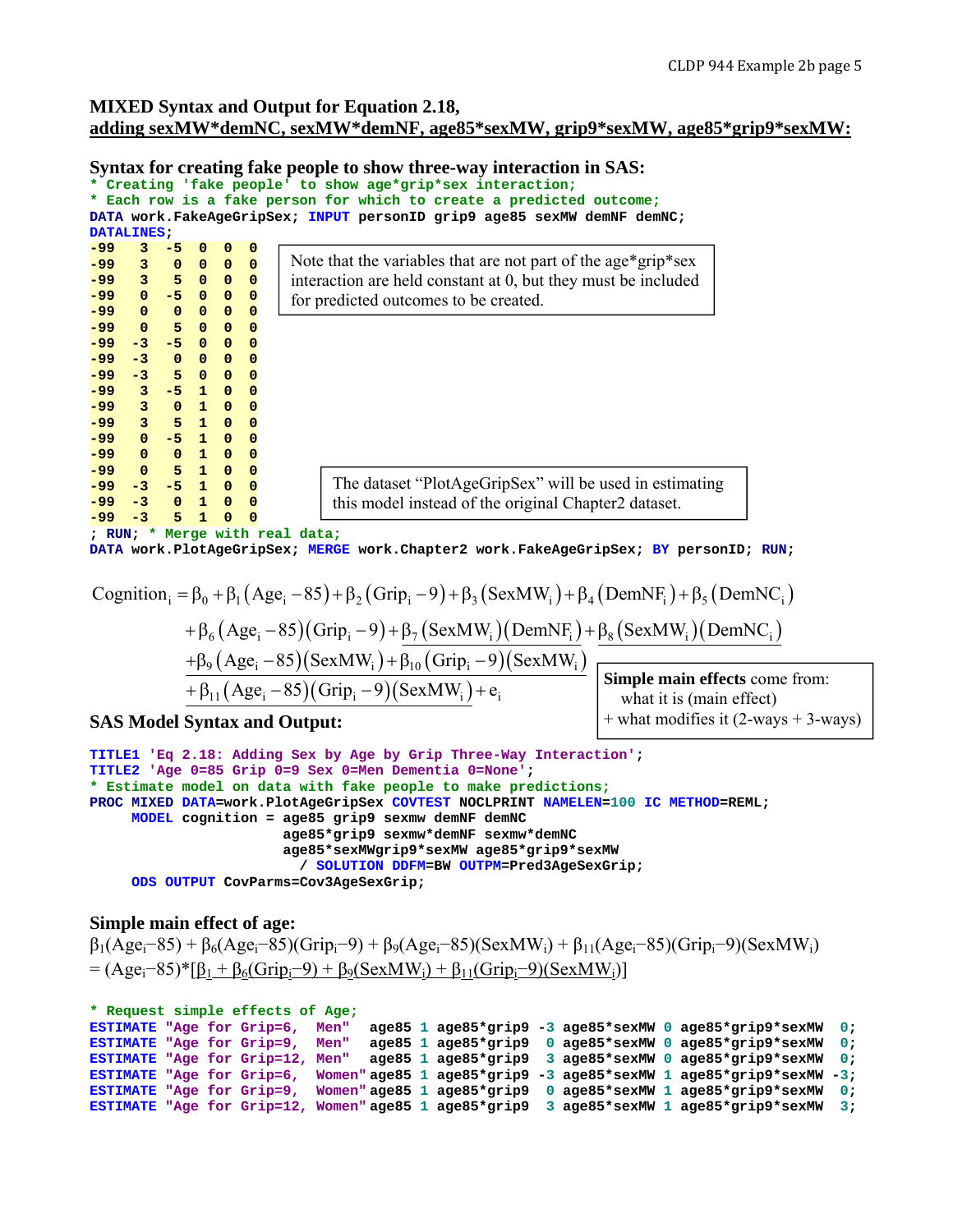# **MIXED Syntax and Output for Equation 2.18, adding sexMW\*demNC, sexMW\*demNF, age85\*sexMW, grip9\*sexMW, age85\*grip9\*sexMW:**

#### **Syntax for creating fake people to show three-way interaction in SAS:**

|       |                    |                                               |              |                   |              | * Creating 'fake people' to show age*grip*sex interaction;              |
|-------|--------------------|-----------------------------------------------|--------------|-------------------|--------------|-------------------------------------------------------------------------|
|       |                    |                                               |              |                   |              | * Each row is a fake person for which to create a predicted outcome;    |
|       |                    |                                               |              |                   |              | DATA work.FakeAgeGripSex; INPUT personID grip9 age85 sexMW demNF demNC; |
|       | <b>DATALINES</b> : |                                               |              |                   |              |                                                                         |
| -99   | 3                  | $-5$ 0                                        |              | $\mathbf 0$       | 0            |                                                                         |
| -99   | $\frac{3}{2}$ 0    |                                               | $\bullet$    | $\mathbf 0$       | $\mathbf{0}$ | Note that the variables that are not part of the age*grip*sex           |
|       | $-99$ 3 5 0 0      |                                               |              |                   | $\mathbf 0$  | interaction are held constant at 0, but they must be included           |
|       | $-99$ 0 $-5$ 0 0   |                                               |              |                   | $\mathbf 0$  |                                                                         |
| $-99$ | $\mathbf{0}$       | $\mathbf{0}$                                  | $\mathbf{0}$ | $\mathbf{0}$      | $\Omega$     | for predicted outcomes to be created.                                   |
| -99   | $\Omega$           |                                               | 50           | $\mathbf 0$       | $\mathbf 0$  |                                                                         |
| -99   |                    | $-3 - -5$                                     | $\mathbf{0}$ | $\mathbf 0$       | $\Omega$     |                                                                         |
| -99   | $-3$               | $\begin{array}{ccc} & & 0 & 0 \\ \end{array}$ |              | $\mathbf 0$       | $\mathbf 0$  |                                                                         |
| -99   |                    | $-3$ 5 0 0                                    |              |                   | $\mathbf 0$  |                                                                         |
| $-99$ | $3 - 5$ 1 0        |                                               |              |                   |              |                                                                         |
|       |                    |                                               |              |                   | $\Omega$     |                                                                         |
| -99   | 3 0 1 0            |                                               |              |                   | $\mathbf 0$  |                                                                         |
|       | $-99$ 3 5 1 0      |                                               |              |                   | $\Omega$     |                                                                         |
|       | $-99$ 0 $-5$ 1 0   |                                               |              |                   | $\Omega$     |                                                                         |
| -99   | $\bullet$          |                                               | $0$ 1 0      |                   | $\Omega$     |                                                                         |
| -99   | $\mathbf{0}$       |                                               |              | $5\quad 1\quad 0$ | $\mathbf 0$  |                                                                         |
| $-99$ |                    | $-3$ $-5$ 1 0                                 |              |                   | $\mathbf{0}$ | The dataset "PlotAgeGripSex" will be used in estimating                 |
| -99   |                    | $-3$ 0 1 0                                    |              |                   | $\Omega$     | this model instead of the original Chapter 2 dataset.                   |
| -99   | $-3$               | $5 -$                                         | $\mathbf{1}$ | $\mathbf{0}$      | $\mathbf 0$  |                                                                         |
|       |                    |                                               |              |                   |              | ; RUN: * Merge with real data;                                          |

**DATA work.PlotAgeGripSex; MERGE work.Chapter2 work.FakeAgeGripSex; BY personID; RUN;** 

$$
Cognition_i = \beta_0 + \beta_1 (Age_i - 85) + \beta_2 (Grip_i - 9) + \beta_3 (SexMW_i) + \beta_4 (DemNF_i) + \beta_5 (DemNC_i)
$$

$$
+ \beta_6 (\text{Age}_i - 85)(\text{Grip}_i - 9) + \beta_7 (\text{SexMW}_i)(\text{DemNF}_i) + \beta_8 (\text{SexMW}_i)(\text{DemNC}_i)
$$
  
+  $\beta_9 (\text{Age}_i - 85)(\text{SexMW}_i) + \beta_{10} (\text{Grip}_i - 9)(\text{SexMW}_i)$ 

$$
+\beta_{11}(Age_i-85)(Grip_i-9)(SexMW_i)+e_i
$$

**Simple main effects** come from: what it is (main effect)  $+$  what modifies it (2-ways  $+$  3-ways)

## **SAS Model Syntax and Output:**

```
TITLE1 'Eq 2.18: Adding Sex by Age by Grip Three-Way Interaction'; 
TITLE2 'Age 0=85 Grip 0=9 Sex 0=Men Dementia 0=None'; 
* Estimate model on data with fake people to make predictions;
PROC MIXED DATA=work.PlotAgeGripSex COVTEST NOCLPRINT NAMELEN=100 IC METHOD=REML; 
      MODEL cognition = age85 grip9 sexmw demNF demNC 
                        age85*grip9 sexmw*demNF sexmw*demNC 
                         age85*sexMWgrip9*sexMW age85*grip9*sexMW 
                           / SOLUTION DDFM=BW OUTPM=Pred3AgeSexGrip; 
      ODS OUTPUT CovParms=Cov3AgeSexGrip;
```
## **Simple main effect of age:**

```
\beta_1(Age_i-85) + \beta_6(Age_i-85)(Grip_i-9) + \beta_9(Age_i-85)(SexMW_i) + \beta_{11}(Age_i-85)(Grip_i-9)(SexMW_i)= (Age<sub>i</sub>-85)*[<u>β</u><sub>1</sub> + <u>β</u><sub>6</sub>(Grip<sub>i</sub>-9) + <u>β</u><sub>9</sub>(SexMW<sub>i</sub>) + <u>β</u><sub>11</sub>(Grip<sub>i</sub>-9)(SexMW<sub>i</sub>)]
```

```
* Request simple effects of Age; 
ESTIMATE "Age for Grip=6, Men" age85 1 age85*grip9 -3 age85*sexMW 0 age85*grip9*sexMW 0;<br>ESTIMATE "Age for Grip=9, Men" age85 1 age85*grip9 0 age85*sexMW 0 age85*grip9*sexMW 0;
ESTIMATE "Age for Grip=9, Men" age85 1 age85*grip9 0 age85*sexMW 0 age85*grip9*sexMW 0; 
ESTIMATE "Age for Grip=12, Men" age85 1 age85*grip9 3 age85*sexMW 0 age85*grip9*sexMW 0; 
ESTIMATE "Age for Grip=6, Women" age85 1 age85*grip9 -3 age85*sexMW 1 age85*grip9*sexMW -3; 
ESTIMATE "Age for Grip=9, Women" age85 1 age85*grip9 0 age85*sexMW 1 age85*grip9*sexMW 0; 
ESTIMATE "Age for Grip=12, Women" age85 1 age85*grip9 3 age85*sexMW 1 age85*grip9*sexMW 3;
```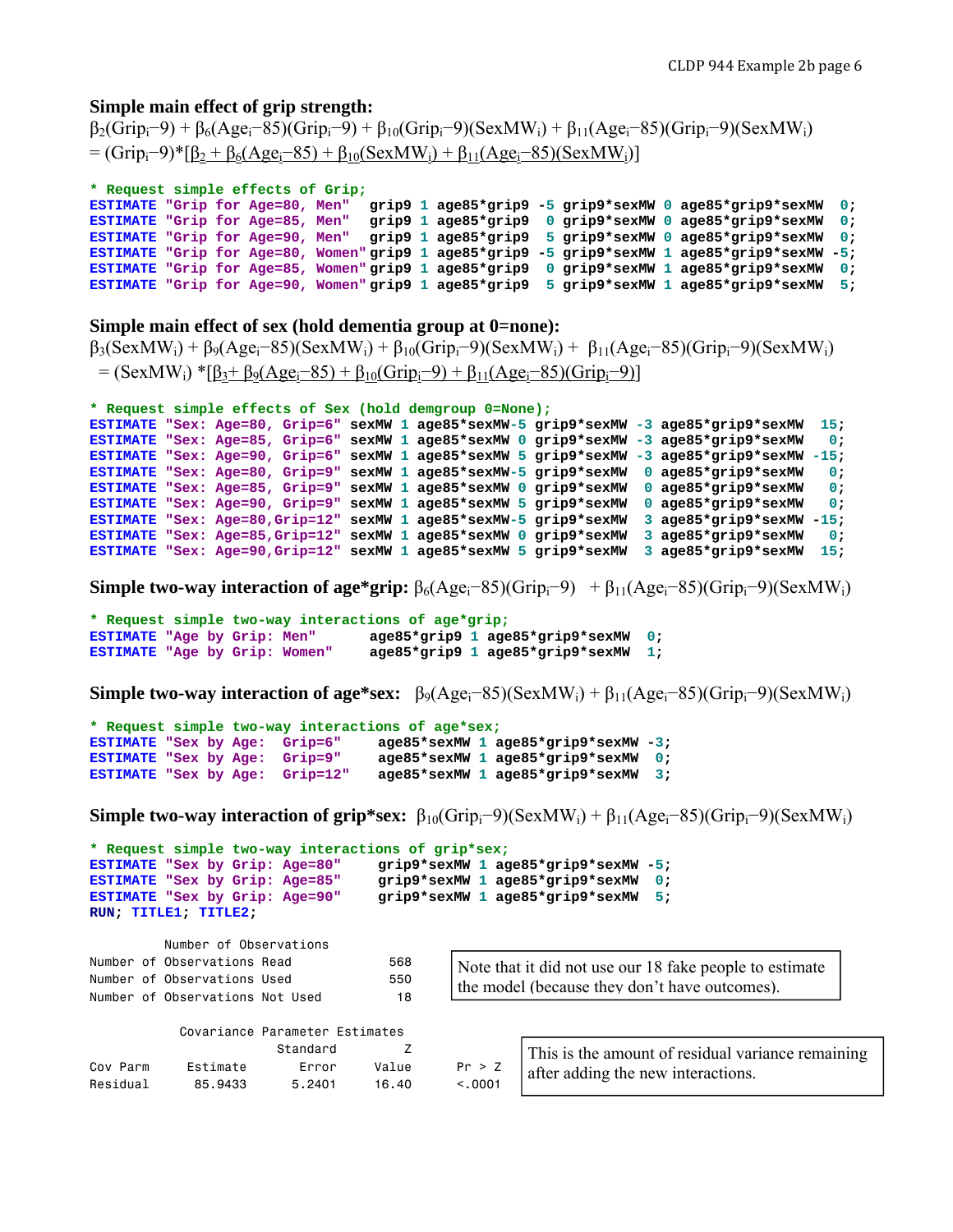#### **Simple main effect of grip strength:**

```
\beta_2(Grip_i-9) + \beta_6(Age_i-85)(Grip_i-9) + \beta_{10}(Grip_i-9)(SexMW_i) + \beta_{11}(Age_i-85)(Grip_i-9)(SexMW_i)= (Grip<sub>i</sub>–9)*[\beta_2 + \beta_6(Age_i-85) + \beta_{10}(SexMW_i) + \beta_{11}(Age_i-85)(SexMW_i)]
```

```
* Request simple effects of Grip;
```

```
ESTIMATE "Grip for Age=80, Men" grip9 1 age85*grip9 -5 grip9*sexMW 0 age85*grip9*sexMW 0; 
                                 grip9 1 age85*grip9 0 grip9*sexMW 0 age85*grip9*sexMW 0;
ESTIMATE "Grip for Age=90, Men" grip9 1 age85*grip9 5 grip9*sexMW 0 age85*grip9*sexMW 0; 
ESTIMATE "Grip for Age=80, Women" grip9 1 age85*grip9 -5 grip9*sexMW 1 age85*grip9*sexMW -5; 
ESTIMATE "Grip for Age=85, Women" grip9 1 age85*grip9 0 grip9*sexMW 1 age85*grip9*sexMW 0; 
ESTIMATE "Grip for Age=90, Women" grip9 1 age85*grip9 5 grip9*sexMW 1 age85*grip9*sexMW 5;
```
#### **Simple main effect of sex (hold dementia group at 0=none):**

```
\beta_3(SexMW<sub>i</sub>) + \beta_9(Age<sub>i</sub>–85)(SexMW<sub>i</sub>) + \beta_{10}(Grip<sub>i</sub>–9)(SexMW<sub>i</sub>) + \beta_{11}(Age<sub>i</sub>–85)(Grip<sub>i</sub>–9)(SexMW<sub>i</sub>)
  = (SexMW<sub>i</sub>) *[\beta_3+\beta_9(Age<sub>i</sub>–85) + \beta_{10}(Grip<sub>i</sub>–9) + \beta_{11}(Age<sub>i</sub>–85)(Grip<sub>i</sub>–9)]
```

```
* Request simple effects of Sex (hold demgroup 0=None);
```

```
ESTIMATE "Sex: Age=80, Grip=6" sexMW 1 age85*sexMW-5 grip9*sexMW -3 age85*grip9*sexMW 15; 
ESTIMATE "Sex: Age=85, Grip=6" sexMW 1 age85*sexMW 0 grip9*sexMW -3 age85*grip9*sexMW 0; 
ESTIMATE "Sex: Age=90, Grip=6" sexMW 1 age85*sexMW 5 grip9*sexMW -3 age85*grip9*sexMW -15; 
ESTIMATE "Sex: Age=80, Grip=9" sexMW 1 age85*sexMW-5 grip9*sexMW 0 age85*grip9*sexMW 0; 
ESTIMATE "Sex: Age=85, Grip=9" sexMW 1 age85*sexMW 0 grip9*sexMW 0 age85*grip9*sexMW 0; 
ESTIMATE "Sex: Age=90, Grip=9" sexMW 1 age85*sexMW 5 grip9*sexMW 0 age85*grip9*sexMW 0; 
ESTIMATE "Sex: Age=80,Grip=12" sexMW 1 age85*sexMW-5 grip9*sexMW 3 age85*grip9*sexMW -15; 
ESTIMATE "Sex: Age=85,Grip=12" sexMW 1 age85*sexMW 0 grip9*sexMW 3 age85*grip9*sexMW
ESTIMATE "Sex: Age=90,Grip=12" sexMW 1 age85*sexMW 5 grip9*sexMW 3 age85*grip9*sexMW 15;
```
**Simple two-way interaction of age\*grip:**  $\beta_6(Age_i-85)(Grip_i-9) + \beta_{11}(Age_i-85)(Grip_i-9)(SexMW_i)$ 

```
* Request simple two-way interactions of age*grip;
ESTIMATE "Age by Grip: Men" age85*grip9 1 age85*grip9*sexMW 0; 
ESTIMATE "Age by Grip: Women" age85*grip9 1 age85*grip9*sexMW 1;
```
**Simple two-way interaction of age\*sex:**  $\beta_9(Age_i-85)(SexMW_i)+\beta_{11}(Age_i-85)(Grip_i-9)(SexMW_i)$ 

```
* Request simple two-way interactions of age*sex;
ESTIMATE "Sex by Age: Grip=6" age85*sexMW 1 age85*grip9*sexMW -3; 
ESTIMATE "Sex by Age: Grip=9" age85*sexMW 1 age85*grip9*sexMW 0; 
ESTIMATE "Sex by Age: Grip=12" age85*sexMW 1 age85*grip9*sexMW 3;
```
**Simple two-way interaction of grip\*sex:**  $\beta_{10}(Grip_i-9)(SexMW_i) + \beta_{11}(Age_i-85)(Grip_i-9)(SexMW_i)$ 

```
* Request simple two-way interactions of grip*sex;
ESTIMATE "Sex by Grip: Age=80" grip9*sexMW 1 age85*grip9*sexMW -5; 
ESTIMATE "Sex by Grip: Age=85" grip9*sexMW 1 age85*grip9*sexMW
ESTIMATE "Sex by Grip: Age=90" grip9*sexMW 1 age85*grip9*sexMW 5; 
RUN; TITLE1; TITLE2;
```

|  | Number of Observations          |     |
|--|---------------------------------|-----|
|  | Number of Observations Read     | 568 |
|  | Number of Observations Used     | 550 |
|  | Number of Observations Not Used | 18  |

| Note that it did not use our 18 fake people to estimate |
|---------------------------------------------------------|
| the model (because they don't have outcomes).           |

|          | Covariance Parameter Estimates |          |       |         |                                                   |
|----------|--------------------------------|----------|-------|---------|---------------------------------------------------|
|          |                                | Standard |       |         | This is the amount of residual variance remaining |
| Cov Parm | Estimate                       | Error    | Value | Pr > Z  | after adding the new interactions.                |
| Residual | 85.9433                        | 5.2401   | 16.40 | < 0.001 |                                                   |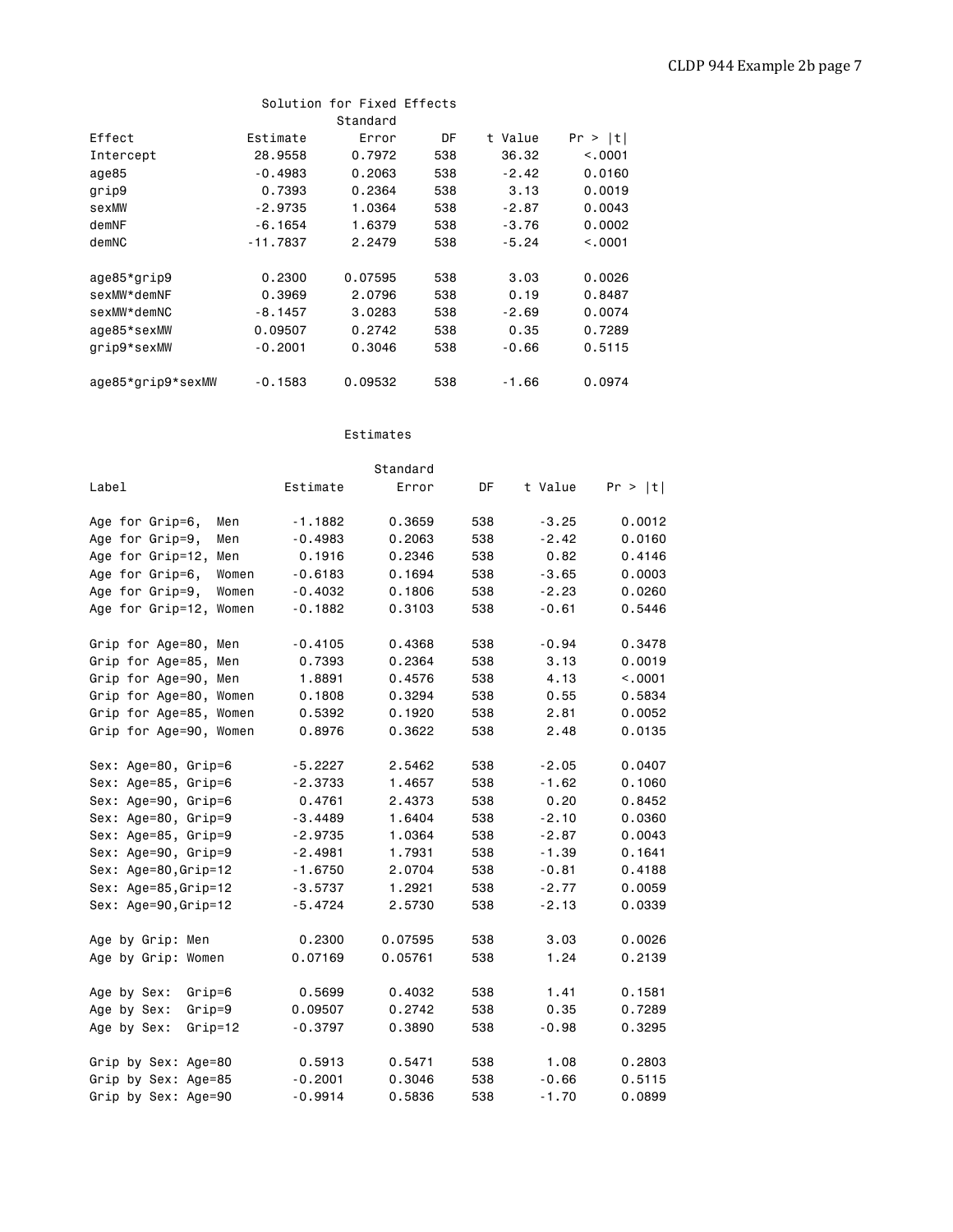|                   |            | Solution for Fixed Effects |     |         |         |
|-------------------|------------|----------------------------|-----|---------|---------|
|                   |            | Standard                   |     |         |         |
| Effect            | Estimate   | Error                      | DF  | t Value | Pr >  t |
| Intercept         | 28,9558    | 0.7972                     | 538 | 36.32   | < 0.001 |
| age85             | $-0.4983$  | 0.2063                     | 538 | $-2.42$ | 0.0160  |
| grip9             | 0.7393     | 0.2364                     | 538 | 3.13    | 0.0019  |
| sexMW             | $-2.9735$  | 1.0364                     | 538 | $-2.87$ | 0.0043  |
| demNF             | $-6.1654$  | 1,6379                     | 538 | $-3.76$ | 0.0002  |
| demNC             | $-11.7837$ | 2.2479                     | 538 | $-5.24$ | < 0.001 |
|                   |            |                            |     |         |         |
| age85*grip9       | 0.2300     | 0.07595                    | 538 | 3.03    | 0.0026  |
| sexMW*demNF       | 0.3969     | 2.0796                     | 538 | 0.19    | 0.8487  |
| sexMW*demNC       | $-8.1457$  | 3,0283                     | 538 | $-2.69$ | 0.0074  |
| age85*sexMW       | 0.09507    | 0.2742                     | 538 | 0.35    | 0.7289  |
| grip9*sexMW       | $-0.2001$  | 0.3046                     | 538 | $-0.66$ | 0.5115  |
|                   |            |                            |     |         |         |
| age85*grip9*sexMW | $-0.1583$  | 0.09532                    | 538 | $-1.66$ | 0.0974  |

#### Estimates

|                           |           | Standard |     |         |         |
|---------------------------|-----------|----------|-----|---------|---------|
| Label                     | Estimate  | Error    | DF  | t Value | Pr >  t |
| Age for Grip=6,<br>Men    | $-1.1882$ | 0.3659   | 538 | $-3.25$ | 0.0012  |
| Age for Grip=9,<br>Men    | $-0.4983$ | 0.2063   | 538 | $-2.42$ | 0.0160  |
| Age for Grip=12,<br>Men   | 0.1916    | 0.2346   | 538 | 0.82    | 0.4146  |
| Age for Grip=6,<br>Women  | $-0.6183$ | 0.1694   | 538 | $-3.65$ | 0.0003  |
| Age for Grip=9,<br>Women  | $-0.4032$ | 0.1806   | 538 | $-2.23$ | 0.0260  |
| Age for Grip=12,<br>Women | $-0.1882$ | 0.3103   | 538 | $-0.61$ | 0.5446  |
| Grip for Age=80, Men      | $-0.4105$ | 0.4368   | 538 | $-0.94$ | 0.3478  |
| Grip for Age=85, Men      | 0.7393    | 0.2364   | 538 | 3.13    | 0.0019  |
| Grip for Age=90, Men      | 1.8891    | 0.4576   | 538 | 4.13    | < 0.001 |
| Grip for Age=80, Women    | 0.1808    | 0.3294   | 538 | 0.55    | 0.5834  |
| Grip for Age=85, Women    | 0.5392    | 0.1920   | 538 | 2.81    | 0.0052  |
| Grip for Age=90, Women    | 0.8976    | 0.3622   | 538 | 2.48    | 0.0135  |
| Sex: Age=80, Grip=6       | $-5.2227$ | 2.5462   | 538 | $-2.05$ | 0.0407  |
| Sex: Age=85, Grip=6       | $-2.3733$ | 1.4657   | 538 | $-1.62$ | 0.1060  |
| Sex: Age=90, Grip=6       | 0.4761    | 2.4373   | 538 | 0.20    | 0.8452  |
| Sex: Age=80, Grip=9       | $-3.4489$ | 1.6404   | 538 | $-2.10$ | 0.0360  |
| Sex: Age=85, Grip=9       | $-2.9735$ | 1.0364   | 538 | $-2.87$ | 0.0043  |
| Sex: Age=90, Grip=9       | $-2.4981$ | 1.7931   | 538 | $-1.39$ | 0.1641  |
| Sex: Age=80, Grip=12      | $-1.6750$ | 2.0704   | 538 | $-0.81$ | 0.4188  |
| Sex: Age=85, Grip=12      | $-3.5737$ | 1.2921   | 538 | $-2.77$ | 0.0059  |
| Sex: Age=90, Grip=12      | $-5.4724$ | 2.5730   | 538 | $-2.13$ | 0.0339  |
| Age by Grip: Men          | 0.2300    | 0.07595  | 538 | 3.03    | 0.0026  |
| Age by Grip: Women        | 0.07169   | 0.05761  | 538 | 1.24    | 0.2139  |
| Age by Sex:<br>Grip=6     | 0.5699    | 0.4032   | 538 | 1.41    | 0.1581  |
| Age by Sex:<br>$Grip=9$   | 0.09507   | 0.2742   | 538 | 0.35    | 0.7289  |
| Age by Sex:<br>$Grip=12$  | $-0.3797$ | 0.3890   | 538 | $-0.98$ | 0.3295  |
| Grip by Sex: Age=80       | 0.5913    | 0.5471   | 538 | 1.08    | 0.2803  |
| Grip by Sex: Age=85       | $-0.2001$ | 0.3046   | 538 | $-0.66$ | 0.5115  |
| Grip by Sex: Age=90       | $-0.9914$ | 0.5836   | 538 | $-1.70$ | 0.0899  |